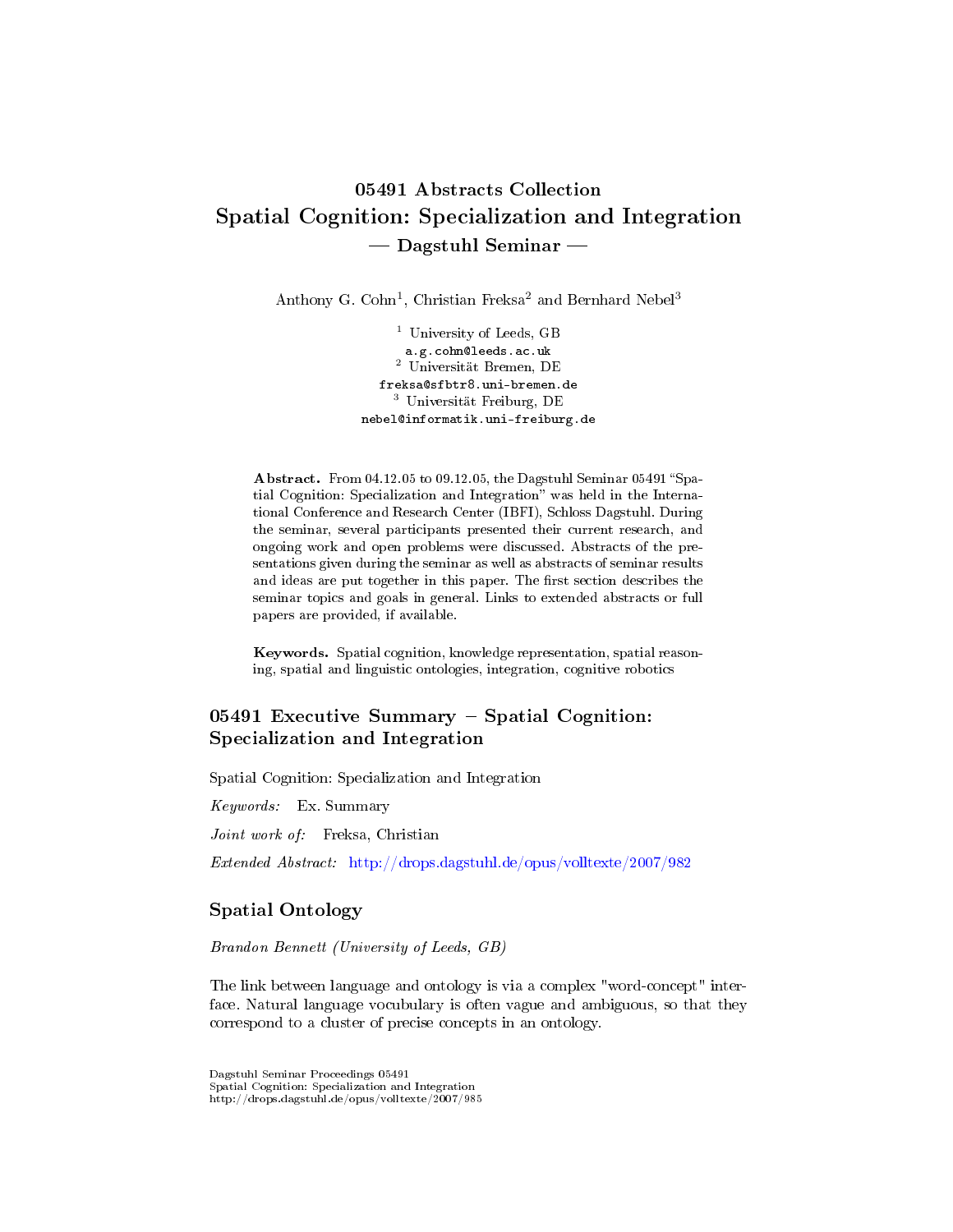# 05491 Abstracts Collection Spatial Cognition: Specialization and Integration  $-$  Dagstuhl Seminar  $-$

Anthony G. Cohn<sup>1</sup>, Christian Freksa<sup>2</sup> and Bernhard Nebel<sup>3</sup>

<sup>1</sup> University of Leeds, GB a.g.cohn@leeds.ac.uk <sup>2</sup> Universität Bremen, DE freksa@sfbtr8.uni-bremen.de <sup>3</sup> Universität Freiburg, DE nebel@informatik.uni-freiburg.de

Abstract. From 04.12.05 to 09.12.05, the Dagstuhl Seminar 05491 "Spatial Cognition: Specialization and Integration" was held in the International Conference and Research Center (IBFI), Schloss Dagstuhl. During the seminar, several participants presented their current research, and ongoing work and open problems were discussed. Abstracts of the presentations given during the seminar as well as abstracts of seminar results and ideas are put together in this paper. The first section describes the seminar topics and goals in general. Links to extended abstracts or full papers are provided, if available.

Keywords. Spatial cognition, knowledge representation, spatial reasoning, spatial and linguistic ontologies, integration, cognitive robotics

# $05491$  Executive Summary – Spatial Cognition: Specialization and Integration

Spatial Cognition: Specialization and Integration

Keywords: Ex. Summary

Joint work of: Freksa, Christian

Extended Abstract: <http://drops.dagstuhl.de/opus/volltexte/2007/982>

### Spatial Ontology

Brandon Bennett (University of Leeds, GB)

The link between language and ontology is via a complex "word-concept" interface. Natural language vocubulary is often vague and ambiguous, so that they correspond to a cluster of precise concepts in an ontology.

Dagstuhl Seminar Proceedings 05491 Spatial Cognition: Specialization and Integration http://drops.dagstuhl.de/opus/volltexte/2007/985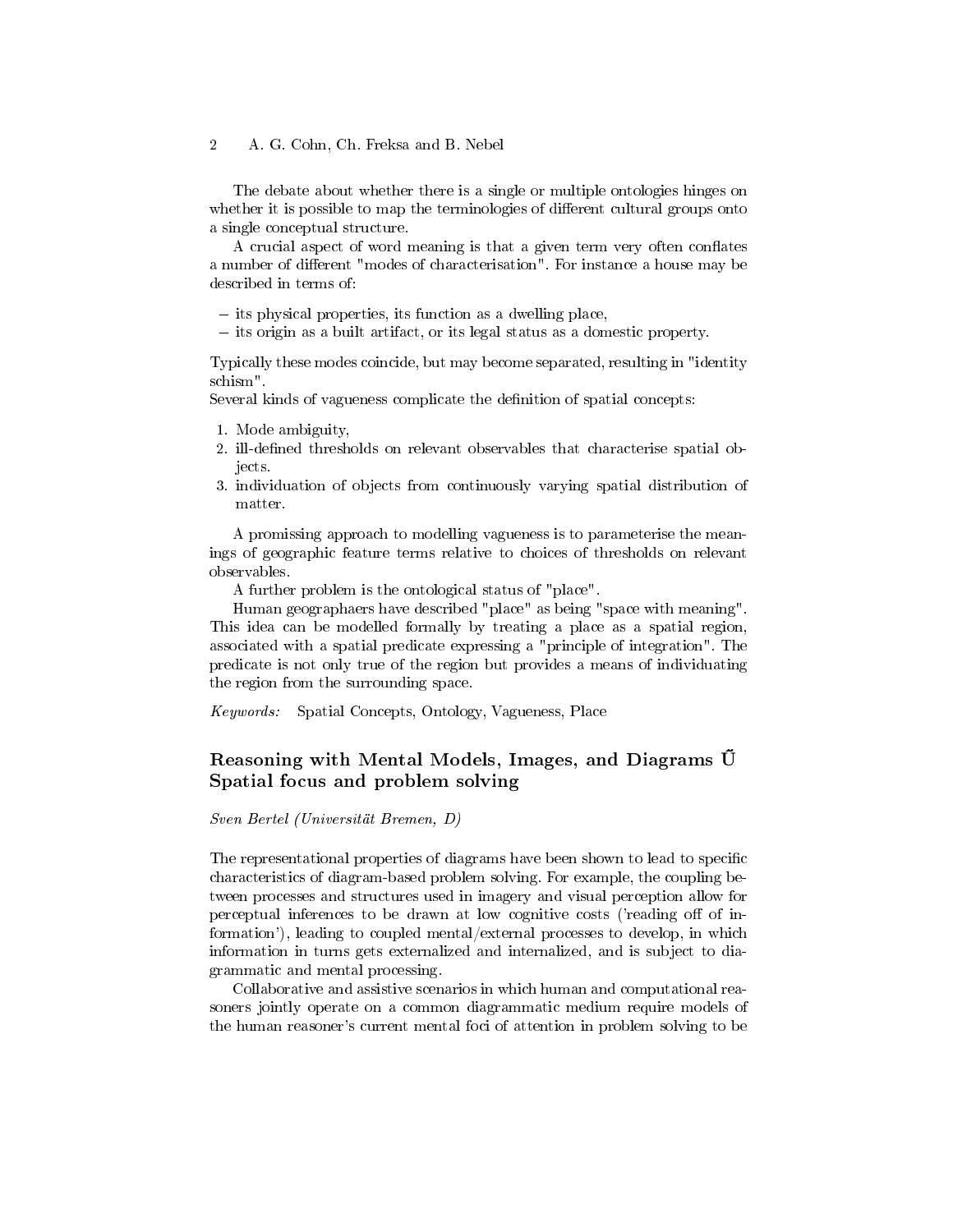The debate about whether there is a single or multiple ontologies hinges on whether it is possible to map the terminologies of different cultural groups onto a single conceptual structure.

A crucial aspect of word meaning is that a given term very often conflates a number of different "modes of characterisation". For instance a house may be described in terms of:

 $-$  its physical properties, its function as a dwelling place,

 $\overline{\phantom{a}}$  its origin as a built artifact, or its legal status as a domestic property.

Typically these modes coincide, but may become separated, resulting in "identity schism".

Several kinds of vagueness complicate the definition of spatial concepts:

- 1. Mode ambiguity,
- 2. ill-defined thresholds on relevant observables that characterise spatial objects.
- 3. individuation of objects from continuously varying spatial distribution of matter.

A promissing approach to modelling vagueness is to parameterise the meanings of geographic feature terms relative to choices of thresholds on relevant observables.

A further problem is the ontological status of "place".

Human geographaers have described "place" as being "space with meaning". This idea can be modelled formally by treating a place as a spatial region, associated with a spatial predicate expressing a "principle of integration". The predicate is not only true of the region but provides a means of individuating the region from the surrounding space.

Keywords: Spatial Concepts, Ontology, Vagueness, Place

# Reasoning with Mental Models, Images, and Diagrams Spatial focus and problem solving

Sven Bertel (Universität Bremen, D)

The representational properties of diagrams have been shown to lead to specific characteristics of diagram-based problem solving. For example, the coupling between processes and structures used in imagery and visual perception allow for perceptual inferences to be drawn at low cognitive costs ('reading off of information'), leading to coupled mental/external processes to develop, in which information in turns gets externalized and internalized, and is subject to diagrammatic and mental processing.

Collaborative and assistive scenarios in which human and computational reasoners jointly operate on a common diagrammatic medium require models of the human reasoner's current mental foci of attention in problem solving to be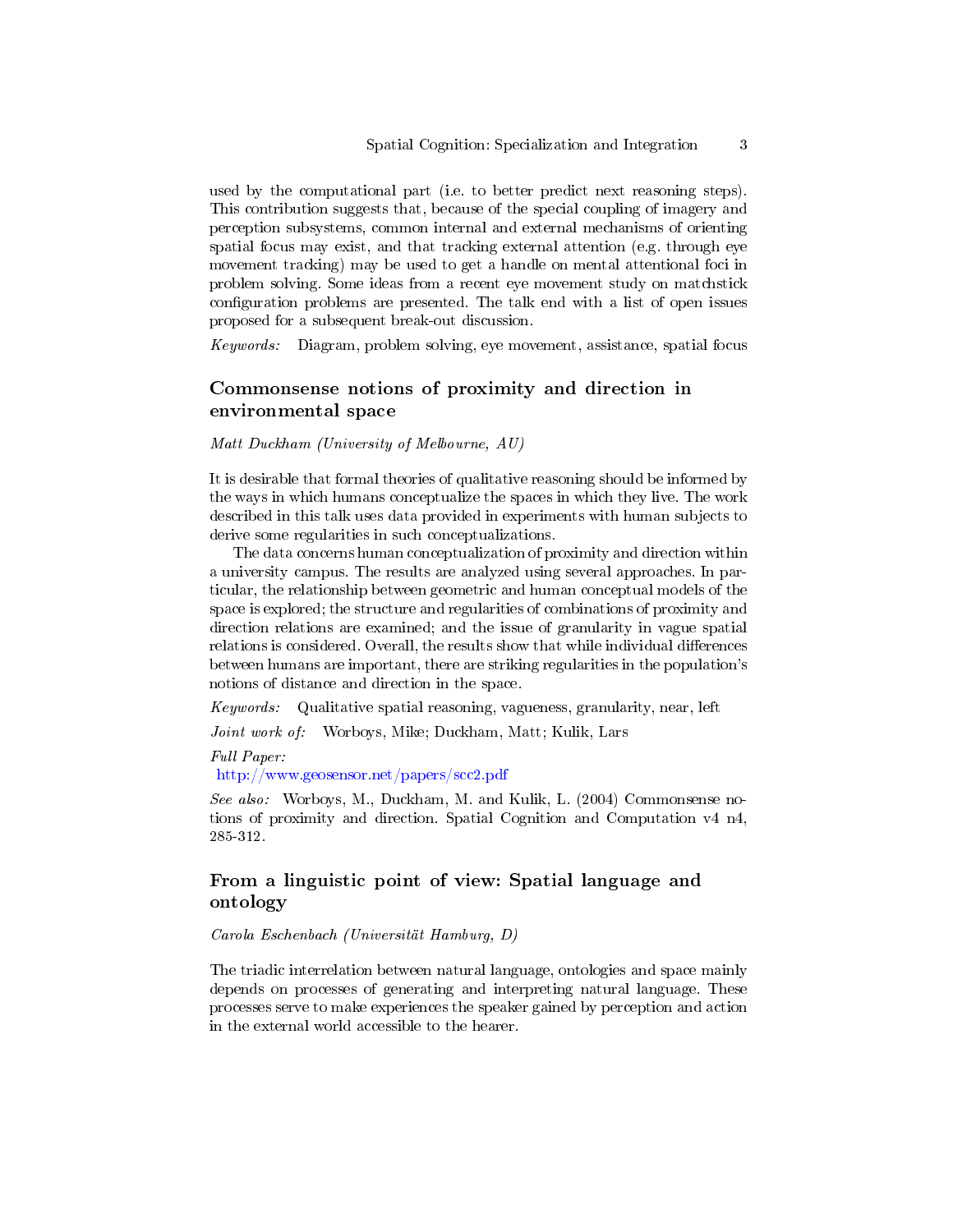used by the computational part (i.e. to better predict next reasoning steps). This contribution suggests that, because of the special coupling of imagery and perception subsystems, common internal and external mechanisms of orienting spatial focus may exist, and that tracking external attention (e.g. through eye movement tracking) may be used to get a handle on mental attentional foci in problem solving. Some ideas from a recent eye movement study on matchstick configuration problems are presented. The talk end with a list of open issues proposed for a subsequent break-out discussion.

Keywords: Diagram, problem solving, eye movement, assistance, spatial focus

# Commonsense notions of proximity and direction in environmental space

Matt Duckham (University of Melbourne, AU)

It is desirable that formal theories of qualitative reasoning should be informed by the ways in which humans conceptualize the spaces in which they live. The work described in this talk uses data provided in experiments with human subjects to derive some regularities in such conceptualizations.

The data concerns human conceptualization of proximity and direction within a university campus. The results are analyzed using several approaches. In particular, the relationship between geometric and human conceptual models of the space is explored; the structure and regularities of combinations of proximity and direction relations are examined; and the issue of granularity in vague spatial relations is considered. Overall, the results show that while individual differences between humans are important, there are striking regularities in the population's notions of distance and direction in the space.

Keywords: Qualitative spatial reasoning, vagueness, granularity, near, left

Joint work of: Worboys, Mike; Duckham, Matt; Kulik, Lars

Full Paper:

<http://www.geosensor.net/papers/scc2.pdf>

See also: Worboys, M., Duckham, M. and Kulik, L. (2004) Commonsense notions of proximity and direction. Spatial Cognition and Computation v4 n4, 285-312.

# From a linguistic point of view: Spatial language and ontology

Carola Eschenbach (Universität Hamburg, D)

The triadic interrelation between natural language, ontologies and space mainly depends on processes of generating and interpreting natural language. These processes serve to make experiences the speaker gained by perception and action in the external world accessible to the hearer.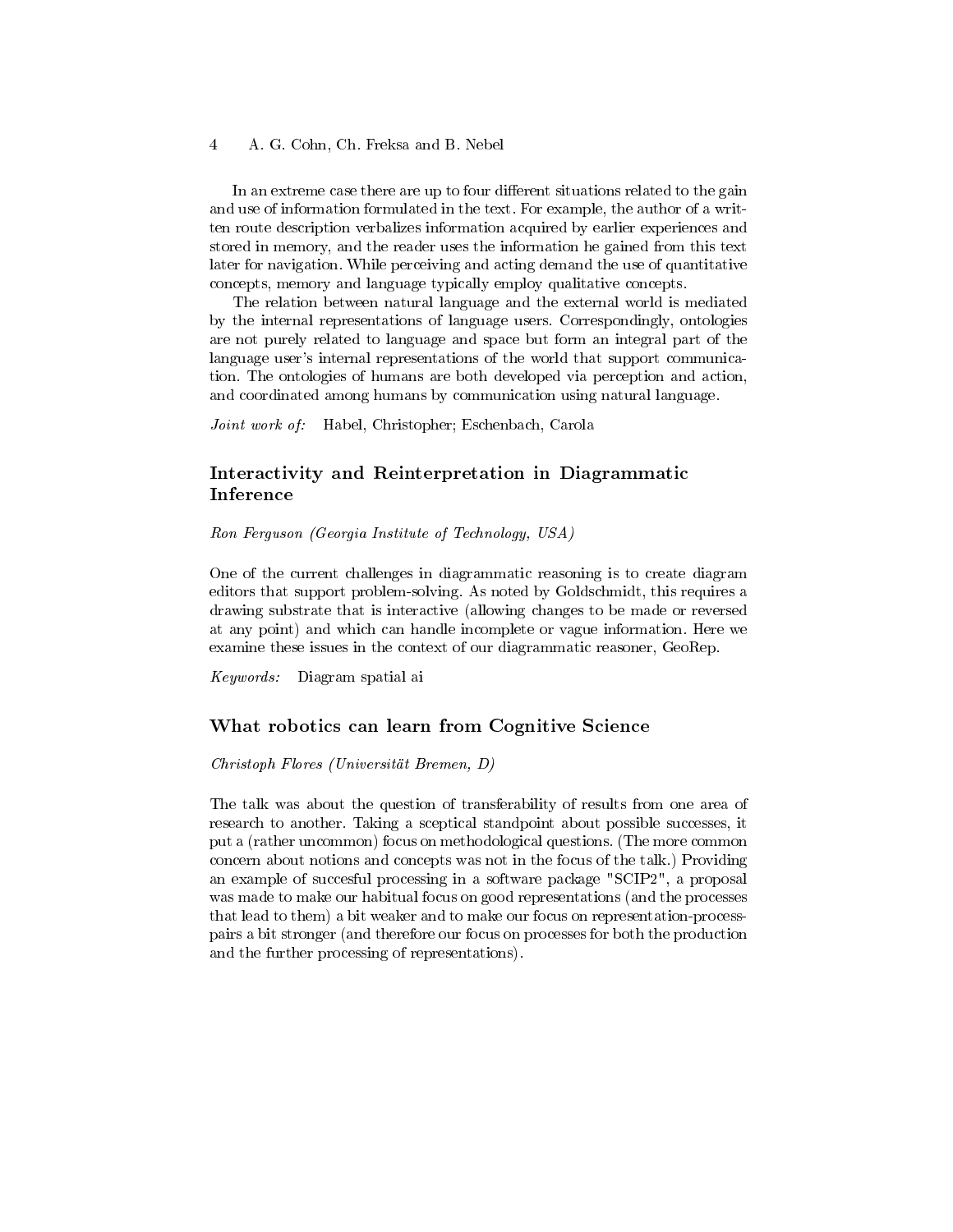In an extreme case there are up to four different situations related to the gain and use of information formulated in the text. For example, the author of a written route description verbalizes information acquired by earlier experiences and stored in memory, and the reader uses the information he gained from this text later for navigation. While perceiving and acting demand the use of quantitative concepts, memory and language typically employ qualitative concepts.

The relation between natural language and the external world is mediated by the internal representations of language users. Correspondingly, ontologies are not purely related to language and space but form an integral part of the language user's internal representations of the world that support communication. The ontologies of humans are both developed via perception and action, and coordinated among humans by communication using natural language.

Joint work of: Habel, Christopher; Eschenbach, Carola

# Interactivity and Reinterpretation in Diagrammatic Inference

Ron Ferguson (Georgia Institute of Technology, USA)

One of the current challenges in diagrammatic reasoning is to create diagram editors that support problem-solving. As noted by Goldschmidt, this requires a drawing substrate that is interactive (allowing changes to be made or reversed at any point) and which can handle incomplete or vague information. Here we examine these issues in the context of our diagrammatic reasoner, GeoRep.

Keywords: Diagram spatial ai

#### What robotics can learn from Cognitive Science

#### Christoph Flores (Universität Bremen, D)

The talk was about the question of transferability of results from one area of research to another. Taking a sceptical standpoint about possible successes, it put a (rather uncommon) focus on methodological questions. (The more common concern about notions and concepts was not in the focus of the talk.) Providing an example of succesful processing in a software package "SCIP2", a proposal was made to make our habitual focus on good representations (and the processes that lead to them) a bit weaker and to make our focus on representation-processpairs a bit stronger (and therefore our focus on processes for both the production and the further processing of representations).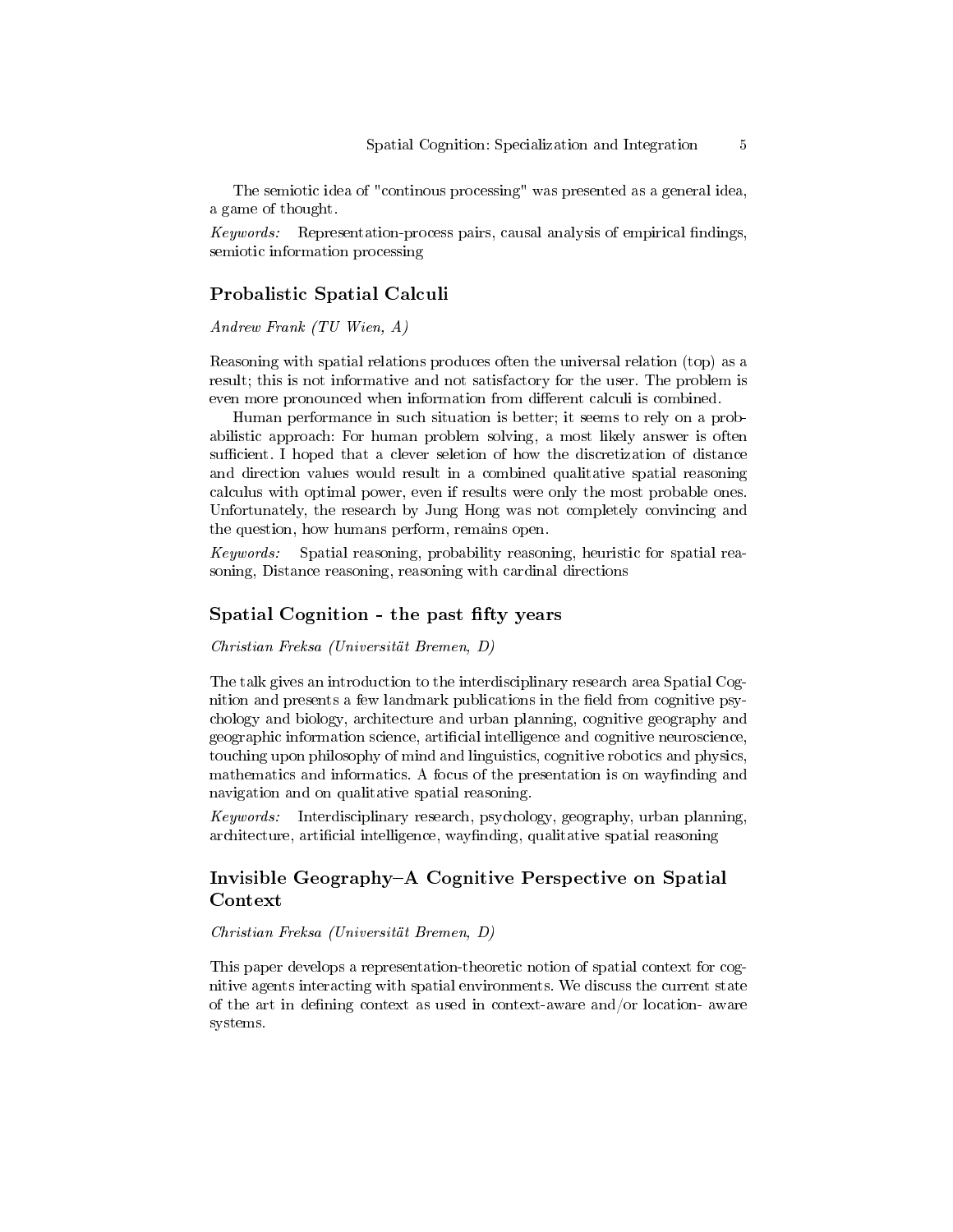The semiotic idea of "continous processing" was presented as a general idea, a game of thought.

 $Keywords:$  Representation-process pairs, causal analysis of empirical findings, semiotic information processing

### Probalistic Spatial Calculi

Andrew Frank (TU Wien, A)

Reasoning with spatial relations produces often the universal relation (top) as a result; this is not informative and not satisfactory for the user. The problem is even more pronounced when information from different calculi is combined.

Human performance in such situation is better; it seems to rely on a probabilistic approach: For human problem solving, a most likely answer is often sufficient. I hoped that a clever seletion of how the discretization of distance and direction values would result in a combined qualitative spatial reasoning calculus with optimal power, even if results were only the most probable ones. Unfortunately, the research by Jung Hong was not completely convincing and the question, how humans perform, remains open.

Keywords: Spatial reasoning, probability reasoning, heuristic for spatial reasoning, Distance reasoning, reasoning with cardinal directions

#### Spatial Cognition - the past fifty years

Christian Freksa (Universität Bremen, D)

The talk gives an introduction to the interdisciplinary research area Spatial Cognition and presents a few landmark publications in the field from cognitive psychology and biology, architecture and urban planning, cognitive geography and geographic information science, artificial intelligence and cognitive neuroscience, touching upon philosophy of mind and linguistics, cognitive robotics and physics, mathematics and informatics. A focus of the presentation is on wayfinding and navigation and on qualitative spatial reasoning.

Keywords: Interdisciplinary research, psychology, geography, urban planning, architecture, artificial intelligence, wayfinding, qualitative spatial reasoning

# Invisible Geography–A Cognitive Perspective on Spatial Context

#### Christian Freksa (Universität Bremen, D)

This paper develops a representation-theoretic notion of spatial context for cognitive agents interacting with spatial environments. We discuss the current state of the art in defining context as used in context-aware and/or location- aware systems.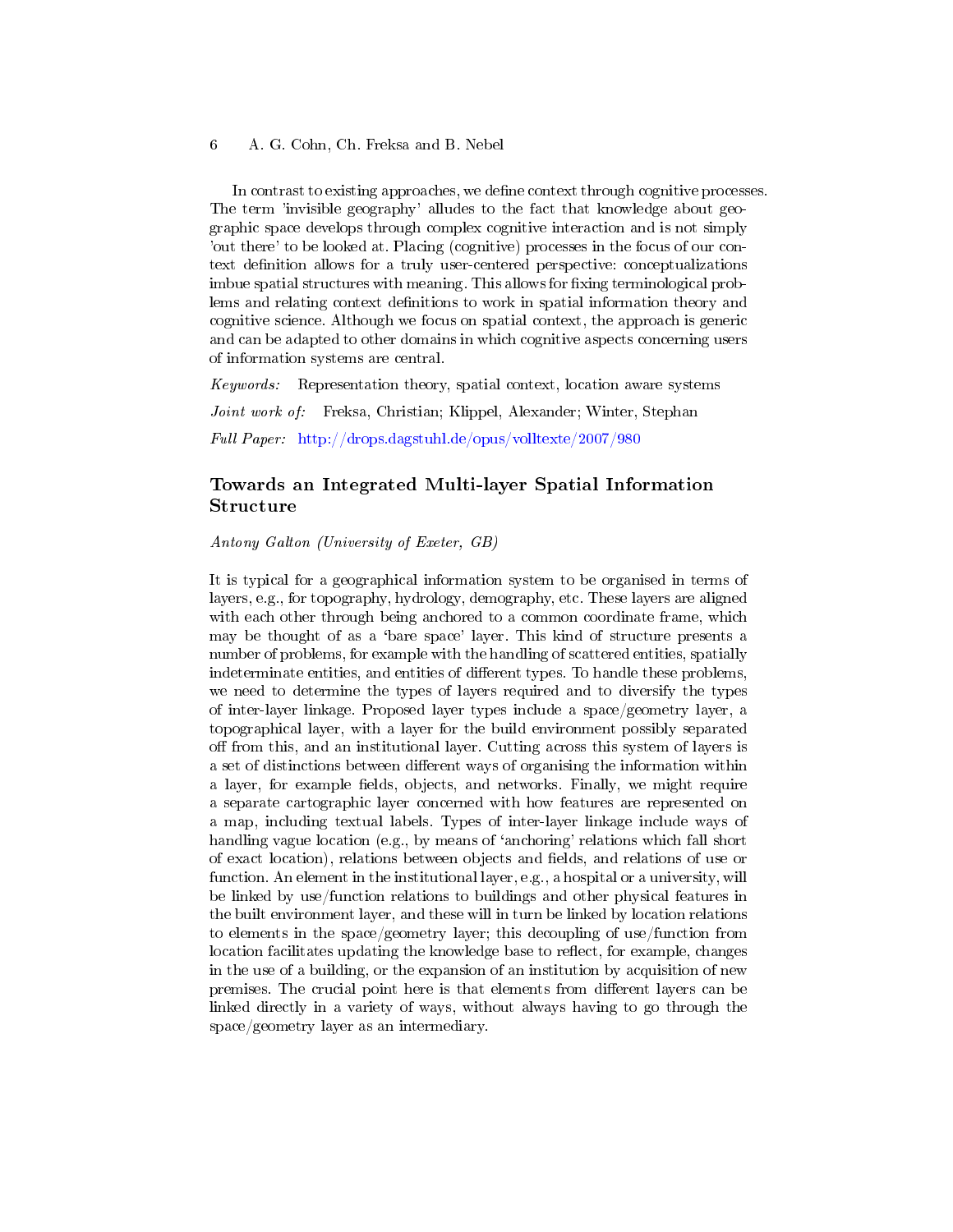In contrast to existing approaches, we define context through cognitive processes. The term 'invisible geography' alludes to the fact that knowledge about geographic space develops through complex cognitive interaction and is not simply 'out there' to be looked at. Placing (cognitive) processes in the focus of our context definition allows for a truly user-centered perspective: conceptualizations imbue spatial structures with meaning. This allows for fixing terminological problems and relating context definitions to work in spatial information theory and cognitive science. Although we focus on spatial context, the approach is generic and can be adapted to other domains in which cognitive aspects concerning users of information systems are central.

Keywords: Representation theory, spatial context, location aware systems Joint work of: Freksa, Christian; Klippel, Alexander; Winter, Stephan Full Paper: <http://drops.dagstuhl.de/opus/volltexte/2007/980>

### Towards an Integrated Multi-layer Spatial Information Structure

Antony Galton (University of Exeter, GB)

It is typical for a geographical information system to be organised in terms of layers, e.g., for topography, hydrology, demography, etc. These layers are aligned with each other through being anchored to a common coordinate frame, which may be thought of as a 'bare space' layer. This kind of structure presents a number of problems, for example with the handling of scattered entities, spatially indeterminate entities, and entities of different types. To handle these problems, we need to determine the types of layers required and to diversify the types of inter-layer linkage. Proposed layer types include a space/geometry layer, a topographical layer, with a layer for the build environment possibly separated off from this, and an institutional layer. Cutting across this system of layers is a set of distinctions between different ways of organising the information within a layer, for example fields, objects, and networks. Finally, we might require a separate cartographic layer concerned with how features are represented on a map, including textual labels. Types of inter-layer linkage include ways of handling vague location (e.g., by means of 'anchoring' relations which fall short of exact location), relations between objects and elds, and relations of use or function. An element in the institutional layer, e.g., a hospital or a university, will be linked by use/function relations to buildings and other physical features in the built environment layer, and these will in turn be linked by location relations to elements in the space/geometry layer; this decoupling of use/function from location facilitates updating the knowledge base to reflect, for example, changes in the use of a building, or the expansion of an institution by acquisition of new premises. The crucial point here is that elements from different layers can be linked directly in a variety of ways, without always having to go through the space/geometry layer as an intermediary.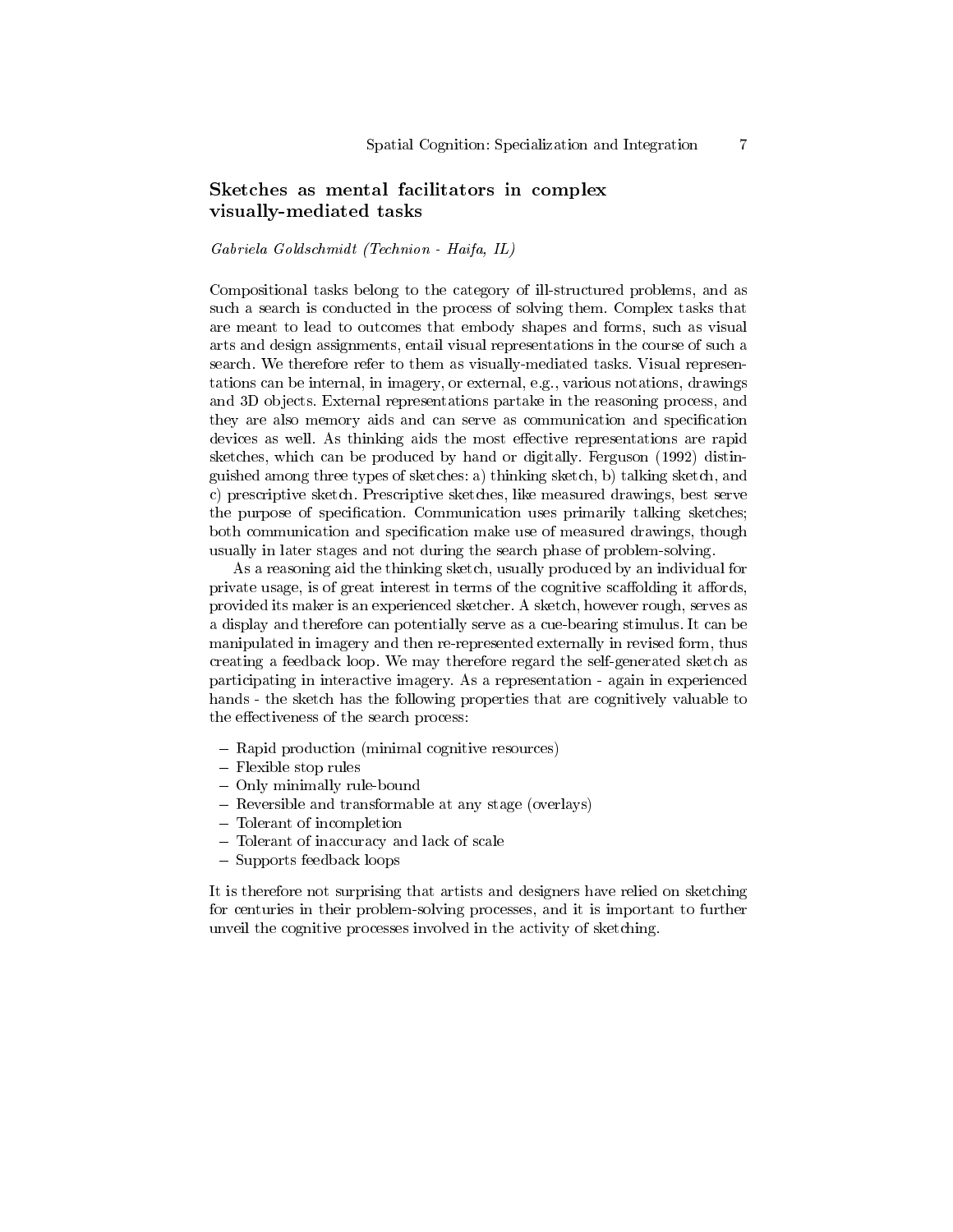# Sketches as mental facilitators in complex visually-mediated tasks

#### Gabriela Goldschmidt (Technion - Haifa, IL)

Compositional tasks belong to the category of ill-structured problems, and as such a search is conducted in the process of solving them. Complex tasks that are meant to lead to outcomes that embody shapes and forms, such as visual arts and design assignments, entail visual representations in the course of such a search. We therefore refer to them as visually-mediated tasks. Visual representations can be internal, in imagery, or external, e.g., various notations, drawings and 3D objects. External representations partake in the reasoning process, and they are also memory aids and can serve as communication and specification devices as well. As thinking aids the most effective representations are rapid sketches, which can be produced by hand or digitally. Ferguson (1992) distinguished among three types of sketches: a) thinking sketch, b) talking sketch, and c) prescriptive sketch. Prescriptive sketches, like measured drawings, best serve the purpose of specification. Communication uses primarily talking sketches; both communication and specification make use of measured drawings, though usually in later stages and not during the search phase of problem-solving.

As a reasoning aid the thinking sketch, usually produced by an individual for private usage, is of great interest in terms of the cognitive scaffolding it affords, provided its maker is an experienced sketcher. A sketch, however rough, serves as a display and therefore can potentially serve as a cue-bearing stimulus. It can be manipulated in imagery and then re-represented externally in revised form, thus creating a feedback loop. We may therefore regard the self-generated sketch as participating in interactive imagery. As a representation - again in experienced hands - the sketch has the following properties that are cognitively valuable to the effectiveness of the search process:

- Rapid production (minimal cognitive resources)
- Flexible stop rules
- Only minimally rule-bound
- Reversible and transformable at any stage (overlays)
- Tolerant of incompletion
- Tolerant of inaccuracy and lack of scale
- Supports feedback loops

It is therefore not surprising that artists and designers have relied on sketching for centuries in their problem-solving processes, and it is important to further unveil the cognitive processes involved in the activity of sketching.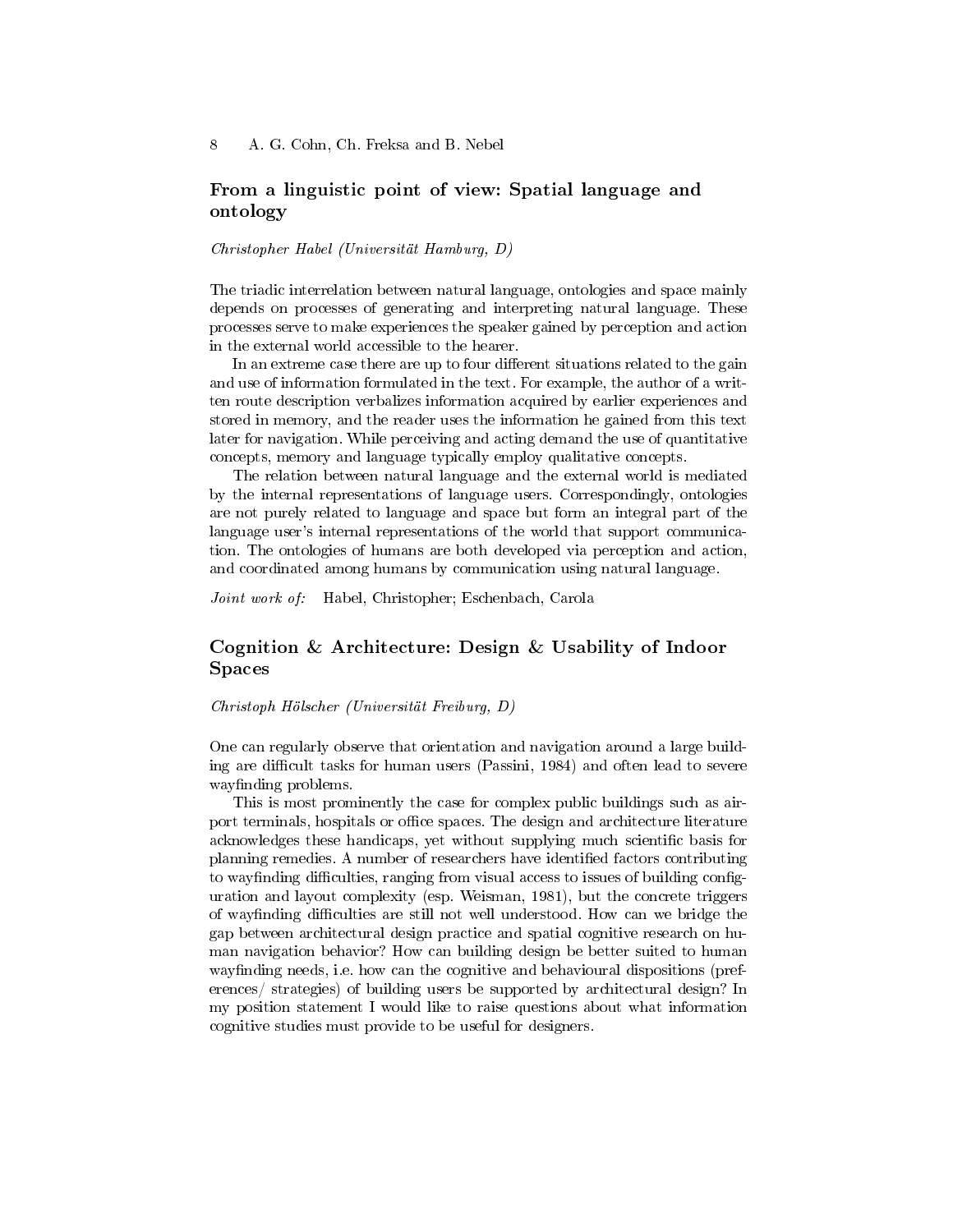# From a linguistic point of view: Spatial language and ontology

#### Christopher Habel (Universität Hamburg, D)

The triadic interrelation between natural language, ontologies and space mainly depends on processes of generating and interpreting natural language. These processes serve to make experiences the speaker gained by perception and action in the external world accessible to the hearer.

In an extreme case there are up to four different situations related to the gain and use of information formulated in the text. For example, the author of a written route description verbalizes information acquired by earlier experiences and stored in memory, and the reader uses the information he gained from this text later for navigation. While perceiving and acting demand the use of quantitative concepts, memory and language typically employ qualitative concepts.

The relation between natural language and the external world is mediated by the internal representations of language users. Correspondingly, ontologies are not purely related to language and space but form an integral part of the language user's internal representations of the world that support communication. The ontologies of humans are both developed via perception and action, and coordinated among humans by communication using natural language.

Joint work of: Habel, Christopher; Eschenbach, Carola

### Cognition & Architecture: Design & Usability of Indoor Spaces

Christoph Hölscher (Universität Freiburg, D)

One can regularly observe that orientation and navigation around a large building are difficult tasks for human users (Passini, 1984) and often lead to severe wayfinding problems.

This is most prominently the case for complex public buildings such as airport terminals, hospitals or office spaces. The design and architecture literature acknowledges these handicaps, yet without supplying much scientific basis for planning remedies. A number of researchers have identified factors contributing to way finding difficulties, ranging from visual access to issues of building configuration and layout complexity (esp. Weisman, 1981), but the concrete triggers of wayfinding difficulties are still not well understood. How can we bridge the gap between architectural design practice and spatial cognitive research on human navigation behavior? How can building design be better suited to human way finding needs, i.e. how can the cognitive and behavioural dispositions (preferences/ strategies) of building users be supported by architectural design? In my position statement I would like to raise questions about what information cognitive studies must provide to be useful for designers.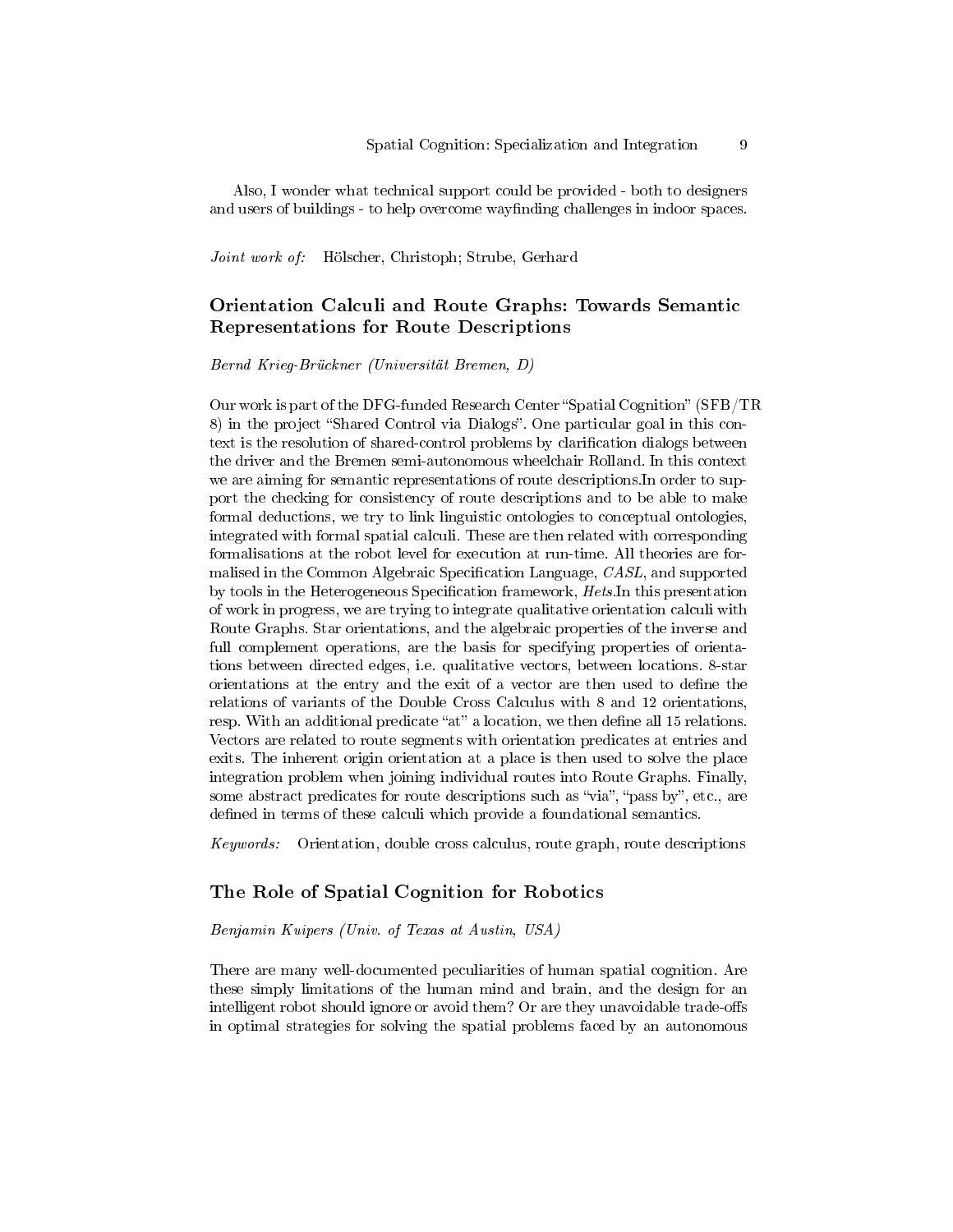Also, I wonder what technical support could be provided - both to designers and users of buildings - to help overcome wayfinding challenges in indoor spaces.

Joint work of: Hölscher, Christoph; Strube, Gerhard

# Orientation Calculi and Route Graphs: Towards Semantic Representations for Route Descriptions

Bernd Krieg-Brückner (Universität Bremen, D)

Our work is part of the DFG-funded Research Center "Spatial Cognition" (SFB/TR 8) in the project "Shared Control via Dialogs". One particular goal in this context is the resolution of shared-control problems by clarification dialogs between the driver and the Bremen semi-autonomous wheelchair Rolland. In this context we are aiming for semantic representations of route descriptions.In order to support the checking for consistency of route descriptions and to be able to make formal deductions, we try to link linguistic ontologies to conceptual ontologies, integrated with formal spatial calculi. These are then related with corresponding formalisations at the robot level for execution at run-time. All theories are formalised in the Common Algebraic Specification Language,  $CASL$ , and supported by tools in the Heterogeneous Specification framework, Hets. In this presentation of work in progress, we are trying to integrate qualitative orientation calculi with Route Graphs. Star orientations, and the algebraic properties of the inverse and full complement operations, are the basis for specifying properties of orientations between directed edges, i.e. qualitative vectors, between locations. 8-star orientations at the entry and the exit of a vector are then used to define the relations of variants of the Double Cross Calculus with 8 and 12 orientations, resp. With an additional predicate "at" a location, we then define all 15 relations. Vectors are related to route segments with orientation predicates at entries and exits. The inherent origin orientation at a place is then used to solve the place integration problem when joining individual routes into Route Graphs. Finally, some abstract predicates for route descriptions such as "via", "pass by", etc., are defined in terms of these calculi which provide a foundational semantics.

Keywords: Orientation, double cross calculus, route graph, route descriptions

### The Role of Spatial Cognition for Robotics

#### Benjamin Kuipers (Univ. of Texas at Austin, USA)

There are many well-documented peculiarities of human spatial cognition. Are these simply limitations of the human mind and brain, and the design for an intelligent robot should ignore or avoid them? Or are they unavoidable trade-offs in optimal strategies for solving the spatial problems faced by an autonomous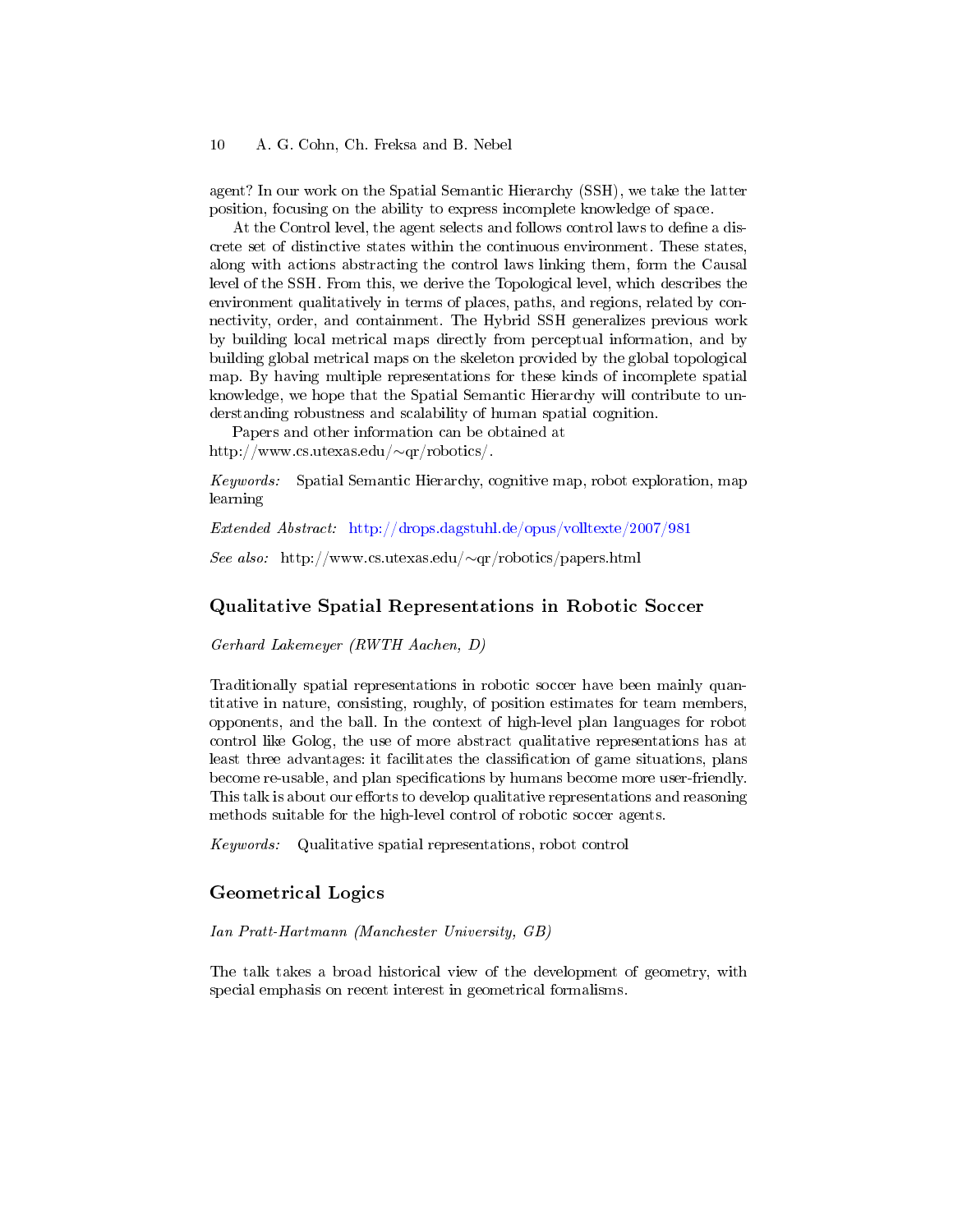agent? In our work on the Spatial Semantic Hierarchy (SSH), we take the latter position, focusing on the ability to express incomplete knowledge of space.

At the Control level, the agent selects and follows control laws to define a discrete set of distinctive states within the continuous environment. These states, along with actions abstracting the control laws linking them, form the Causal level of the SSH. From this, we derive the Topological level, which describes the environment qualitatively in terms of places, paths, and regions, related by connectivity, order, and containment. The Hybrid SSH generalizes previous work by building local metrical maps directly from perceptual information, and by building global metrical maps on the skeleton provided by the global topological map. By having multiple representations for these kinds of incomplete spatial knowledge, we hope that the Spatial Semantic Hierarchy will contribute to understanding robustness and scalability of human spatial cognition.

Papers and other information can be obtained at http://www.cs.utexas.edu/∼qr/robotics/.

Keywords: Spatial Semantic Hierarchy, cognitive map, robot exploration, map learning

Extended Abstract: <http://drops.dagstuhl.de/opus/volltexte/2007/981>

See also: http://www.cs.utexas.edu/∼qr/robotics/papers.html

#### Qualitative Spatial Representations in Robotic Soccer

Gerhard Lakemeyer (RWTH Aachen, D)

Traditionally spatial representations in robotic soccer have been mainly quantitative in nature, consisting, roughly, of position estimates for team members, opponents, and the ball. In the context of high-level plan languages for robot control like Golog, the use of more abstract qualitative representations has at least three advantages: it facilitates the classification of game situations, plans become re-usable, and plan specifications by humans become more user-friendly. This talk is about our efforts to develop qualitative representations and reasoning methods suitable for the high-level control of robotic soccer agents.

Keywords: Qualitative spatial representations, robot control

### Geometrical Logics

Ian Pratt-Hartmann (Manchester University, GB)

The talk takes a broad historical view of the development of geometry, with special emphasis on recent interest in geometrical formalisms.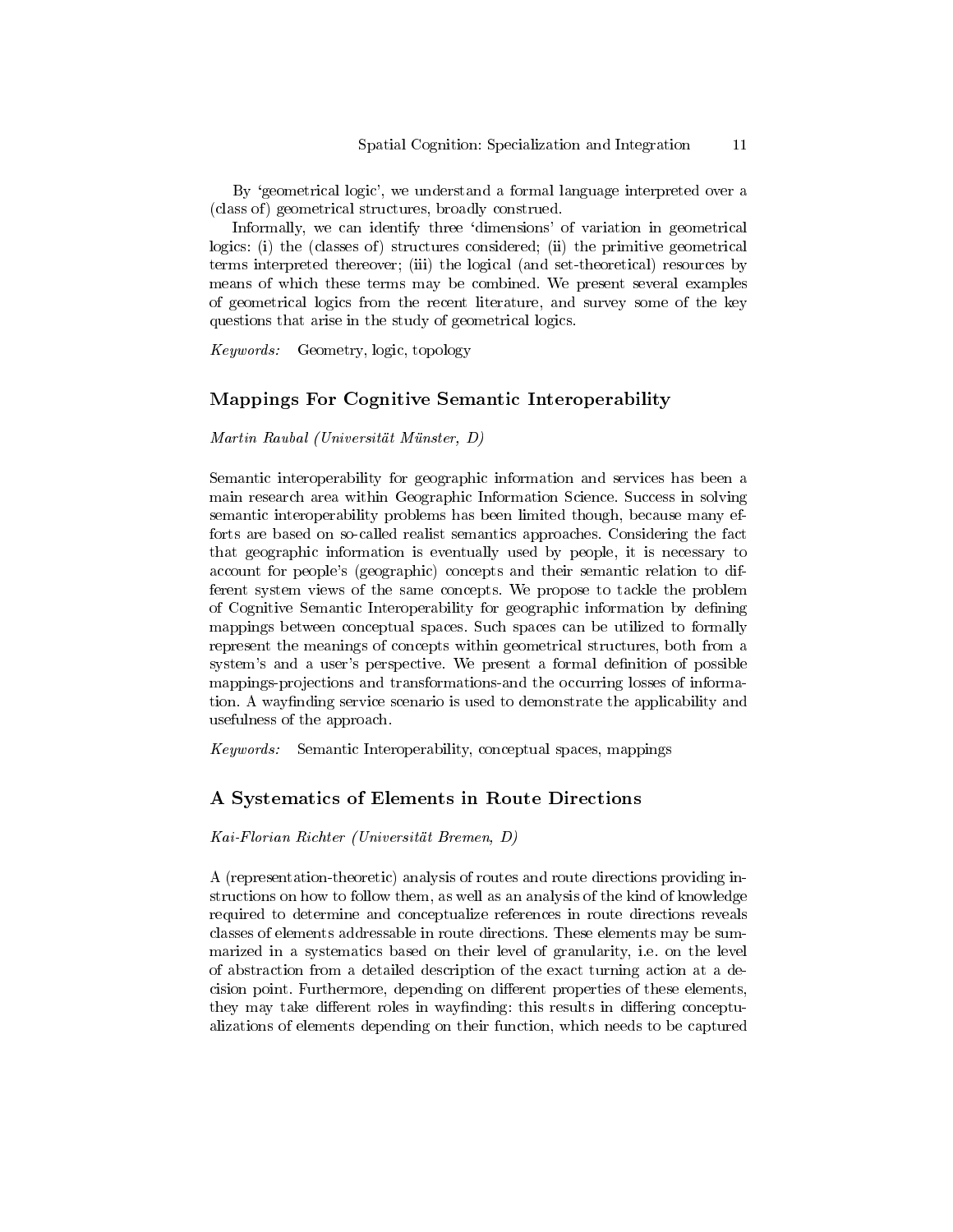By 'geometrical logic', we understand a formal language interpreted over a (class of) geometrical structures, broadly construed.

Informally, we can identify three 'dimensions' of variation in geometrical logics: (i) the (classes of) structures considered; (ii) the primitive geometrical terms interpreted thereover; (iii) the logical (and set-theoretical) resources by means of which these terms may be combined. We present several examples of geometrical logics from the recent literature, and survey some of the key questions that arise in the study of geometrical logics.

Keywords: Geometry, logic, topology

### Mappings For Cognitive Semantic Interoperability

Martin Raubal (Universität Münster, D)

Semantic interoperability for geographic information and services has been a main research area within Geographic Information Science. Success in solving semantic interoperability problems has been limited though, because many efforts are based on so-called realist semantics approaches. Considering the fact that geographic information is eventually used by people, it is necessary to account for people's (geographic) concepts and their semantic relation to different system views of the same concepts. We propose to tackle the problem of Cognitive Semantic Interoperability for geographic information by defining mappings between conceptual spaces. Such spaces can be utilized to formally represent the meanings of concepts within geometrical structures, both from a system's and a user's perspective. We present a formal definition of possible mappings-projections and transformations-and the occurring losses of information. A wayfinding service scenario is used to demonstrate the applicability and usefulness of the approach.

Keywords: Semantic Interoperability, conceptual spaces, mappings

### A Systematics of Elements in Route Directions

Kai-Florian Richter (Universität Bremen, D)

A (representation-theoretic) analysis of routes and route directions providing instructions on how to follow them, as well as an analysis of the kind of knowledge required to determine and conceptualize references in route directions reveals classes of elements addressable in route directions. These elements may be summarized in a systematics based on their level of granularity, i.e. on the level of abstraction from a detailed description of the exact turning action at a decision point. Furthermore, depending on different properties of these elements, they may take different roles in wayfinding: this results in differing conceptualizations of elements depending on their function, which needs to be captured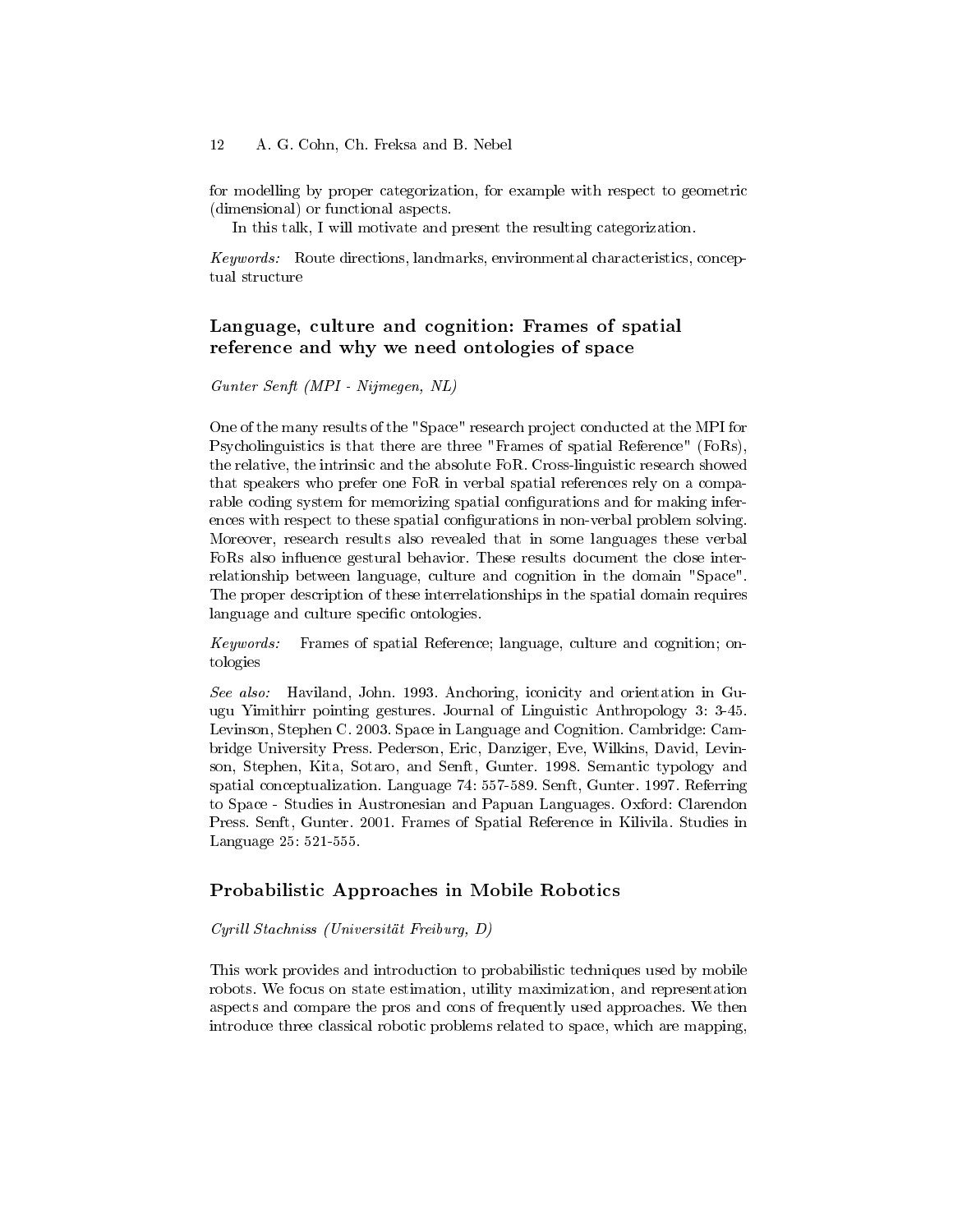for modelling by proper categorization, for example with respect to geometric (dimensional) or functional aspects.

In this talk, I will motivate and present the resulting categorization.

Keywords: Route directions, landmarks, environmental characteristics, conceptual structure

### Language, culture and cognition: Frames of spatial reference and why we need ontologies of space

Gunter Senft (MPI - Nijmegen, NL)

One of the many results of the "Space" research project conducted at the MPI for Psycholinguistics is that there are three "Frames of spatial Reference" (FoRs), the relative, the intrinsic and the absolute FoR. Cross-linguistic research showed that speakers who prefer one FoR in verbal spatial references rely on a comparable coding system for memorizing spatial configurations and for making inferences with respect to these spatial configurations in non-verbal problem solving. Moreover, research results also revealed that in some languages these verbal FoRs also influence gestural behavior. These results document the close interrelationship between language, culture and cognition in the domain "Space". The proper description of these interrelationships in the spatial domain requires language and culture specific ontologies.

Keywords: Frames of spatial Reference; language, culture and cognition; ontologies

See also: Haviland, John. 1993. Anchoring, iconicity and orientation in Guugu Yimithirr pointing gestures. Journal of Linguistic Anthropology 3: 3-45. Levinson, Stephen C. 2003. Space in Language and Cognition. Cambridge: Cambridge University Press. Pederson, Eric, Danziger, Eve, Wilkins, David, Levinson, Stephen, Kita, Sotaro, and Senft, Gunter. 1998. Semantic typology and spatial conceptualization. Language 74: 557-589. Senft, Gunter. 1997. Referring to Space - Studies in Austronesian and Papuan Languages. Oxford: Clarendon Press. Senft, Gunter. 2001. Frames of Spatial Reference in Kilivila. Studies in Language 25: 521-555.

### Probabilistic Approaches in Mobile Robotics

#### Cyrill Stachniss (Universität Freiburg, D)

This work provides and introduction to probabilistic techniques used by mobile robots. We focus on state estimation, utility maximization, and representation aspects and compare the pros and cons of frequently used approaches. We then introduce three classical robotic problems related to space, which are mapping,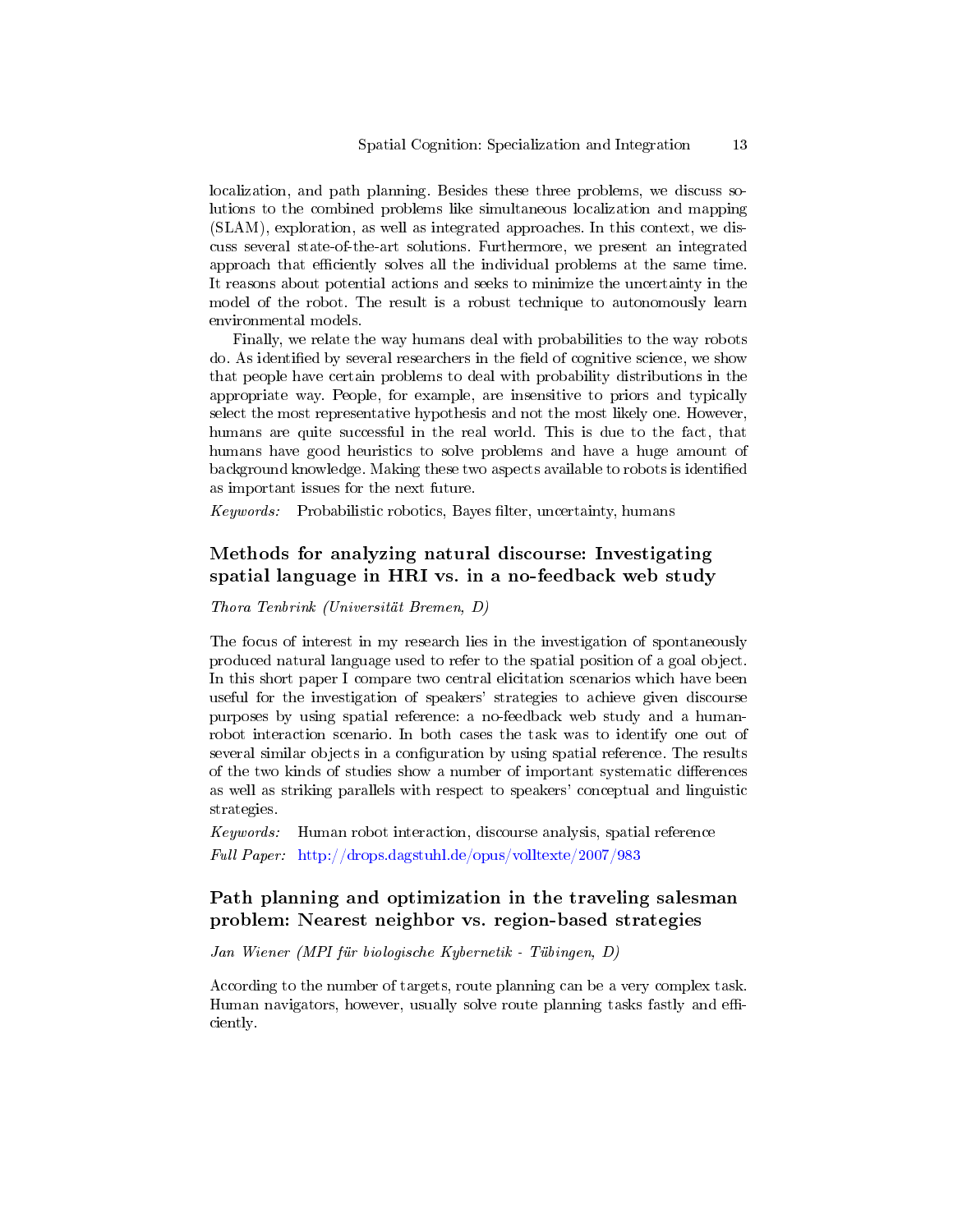localization, and path planning. Besides these three problems, we discuss solutions to the combined problems like simultaneous localization and mapping (SLAM), exploration, as well as integrated approaches. In this context, we discuss several state-of-the-art solutions. Furthermore, we present an integrated approach that efficiently solves all the individual problems at the same time. It reasons about potential actions and seeks to minimize the uncertainty in the model of the robot. The result is a robust technique to autonomously learn environmental models.

Finally, we relate the way humans deal with probabilities to the way robots do. As identified by several researchers in the field of cognitive science, we show that people have certain problems to deal with probability distributions in the appropriate way. People, for example, are insensitive to priors and typically select the most representative hypothesis and not the most likely one. However, humans are quite successful in the real world. This is due to the fact, that humans have good heuristics to solve problems and have a huge amount of background knowledge. Making these two aspects available to robots is identified as important issues for the next future.

Keywords: Probabilistic robotics, Bayes filter, uncertainty, humans

# Methods for analyzing natural discourse: Investigating spatial language in HRI vs. in a no-feedback web study

Thora Tenbrink (Universität Bremen, D)

The focus of interest in my research lies in the investigation of spontaneously produced natural language used to refer to the spatial position of a goal object. In this short paper I compare two central elicitation scenarios which have been useful for the investigation of speakers' strategies to achieve given discourse purposes by using spatial reference: a no-feedback web study and a humanrobot interaction scenario. In both cases the task was to identify one out of several similar objects in a configuration by using spatial reference. The results of the two kinds of studies show a number of important systematic differences as well as striking parallels with respect to speakers' conceptual and linguistic strategies.

Keywords: Human robot interaction, discourse analysis, spatial reference Full Paper: <http://drops.dagstuhl.de/opus/volltexte/2007/983>

# Path planning and optimization in the traveling salesman problem: Nearest neighbor vs. region-based strategies

Jan Wiener (MPI für biologische Kybernetik - Tübingen, D)

According to the number of targets, route planning can be a very complex task. Human navigators, however, usually solve route planning tasks fastly and efficiently.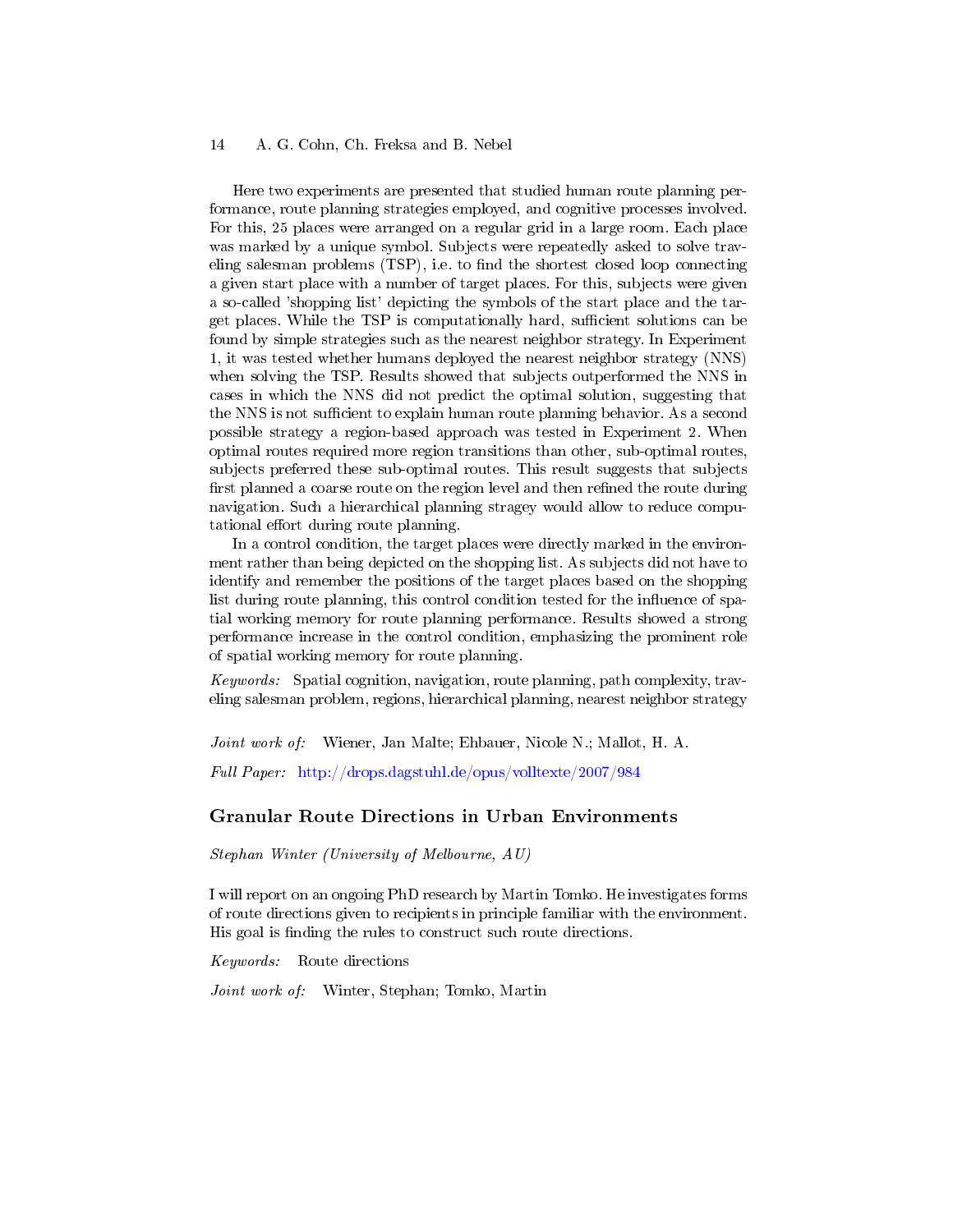Here two experiments are presented that studied human route planning performance, route planning strategies employed, and cognitive processes involved. For this, 25 places were arranged on a regular grid in a large room. Each place was marked by a unique symbol. Subjects were repeatedly asked to solve traveling salesman problems (TSP), i.e. to find the shortest closed loop connecting a given start place with a number of target places. For this, subjects were given a so-called 'shopping list' depicting the symbols of the start place and the target places. While the TSP is computationally hard, sufficient solutions can be found by simple strategies such as the nearest neighbor strategy. In Experiment 1, it was tested whether humans deployed the nearest neighbor strategy (NNS) when solving the TSP. Results showed that subjects outperformed the NNS in cases in which the NNS did not predict the optimal solution, suggesting that the NNS is not sufficient to explain human route planning behavior. As a second possible strategy a region-based approach was tested in Experiment 2. When optimal routes required more region transitions than other, sub-optimal routes, subjects preferred these sub-optimal routes. This result suggests that subjects first planned a coarse route on the region level and then refined the route during navigation. Such a hierarchical planning stragey would allow to reduce computational effort during route planning.

In a control condition, the target places were directly marked in the environment rather than being depicted on the shopping list. As subjects did not have to identify and remember the positions of the target places based on the shopping list during route planning, this control condition tested for the influence of spatial working memory for route planning performance. Results showed a strong performance increase in the control condition, emphasizing the prominent role of spatial working memory for route planning.

Keywords: Spatial cognition, navigation, route planning, path complexity, traveling salesman problem, regions, hierarchical planning, nearest neighbor strategy

Joint work of: Wiener, Jan Malte; Ehbauer, Nicole N.; Mallot, H. A.

Full Paper: <http://drops.dagstuhl.de/opus/volltexte/2007/984>

#### Granular Route Directions in Urban Environments

Stephan Winter (University of Melbourne, AU)

I will report on an ongoing PhD research by Martin Tomko. He investigates forms of route directions given to recipients in principle familiar with the environment. His goal is finding the rules to construct such route directions.

Keywords: Route directions

Joint work of: Winter, Stephan; Tomko, Martin